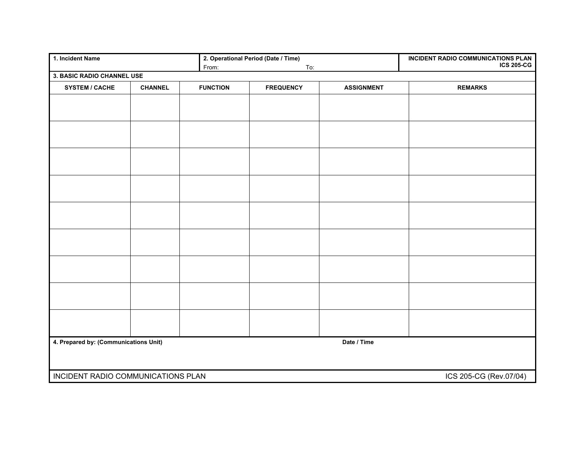| 1. Incident Name                                             |                |                 | 2. Operational Period (Date / Time) | INCIDENT RADIO COMMUNICATIONS PLAN<br><b>ICS 205-CG</b> |                |
|--------------------------------------------------------------|----------------|-----------------|-------------------------------------|---------------------------------------------------------|----------------|
|                                                              |                | From:           | To:                                 |                                                         |                |
| 3. BASIC RADIO CHANNEL USE                                   |                |                 |                                     |                                                         |                |
| <b>SYSTEM / CACHE</b>                                        | <b>CHANNEL</b> | <b>FUNCTION</b> | <b>FREQUENCY</b>                    | <b>ASSIGNMENT</b>                                       | <b>REMARKS</b> |
|                                                              |                |                 |                                     |                                                         |                |
|                                                              |                |                 |                                     |                                                         |                |
|                                                              |                |                 |                                     |                                                         |                |
|                                                              |                |                 |                                     |                                                         |                |
|                                                              |                |                 |                                     |                                                         |                |
|                                                              |                |                 |                                     |                                                         |                |
|                                                              |                |                 |                                     |                                                         |                |
|                                                              |                |                 |                                     |                                                         |                |
|                                                              |                |                 |                                     |                                                         |                |
|                                                              |                |                 |                                     |                                                         |                |
|                                                              |                |                 |                                     |                                                         |                |
|                                                              |                |                 |                                     |                                                         |                |
|                                                              |                |                 |                                     |                                                         |                |
|                                                              |                |                 |                                     |                                                         |                |
|                                                              |                |                 |                                     |                                                         |                |
|                                                              |                |                 |                                     |                                                         |                |
|                                                              |                |                 |                                     |                                                         |                |
|                                                              |                |                 |                                     |                                                         |                |
|                                                              |                |                 |                                     |                                                         |                |
|                                                              |                |                 |                                     |                                                         |                |
|                                                              |                |                 |                                     |                                                         |                |
|                                                              |                |                 |                                     |                                                         |                |
|                                                              |                |                 |                                     |                                                         |                |
|                                                              |                |                 |                                     |                                                         |                |
|                                                              |                |                 |                                     |                                                         |                |
|                                                              |                |                 |                                     |                                                         |                |
|                                                              |                |                 |                                     |                                                         |                |
| Date / Time<br>4. Prepared by: (Communications Unit)         |                |                 |                                     |                                                         |                |
|                                                              |                |                 |                                     |                                                         |                |
|                                                              |                |                 |                                     |                                                         |                |
| INCIDENT RADIO COMMUNICATIONS PLAN<br>ICS 205-CG (Rev.07/04) |                |                 |                                     |                                                         |                |
|                                                              |                |                 |                                     |                                                         |                |